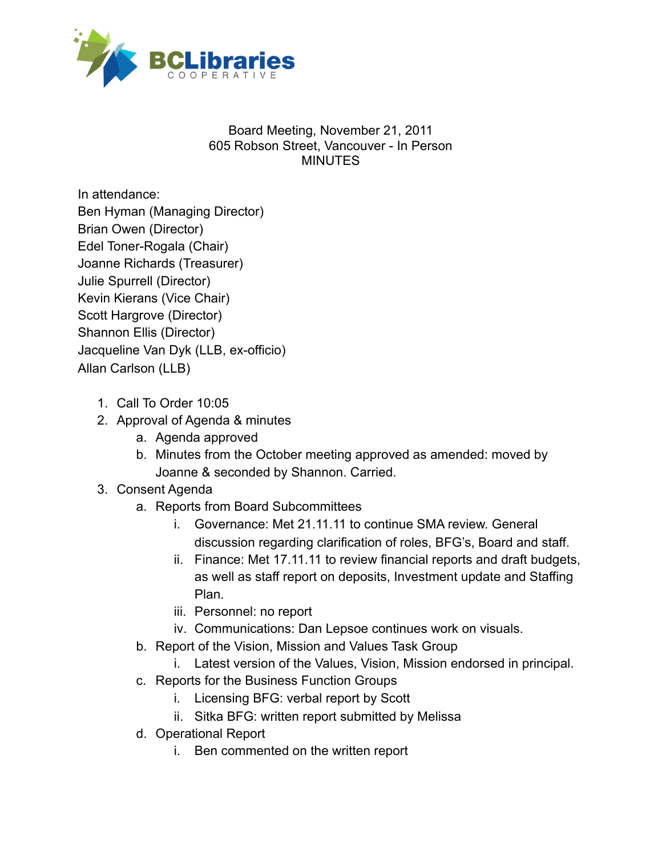

## Board Meeting, November 21, 2011 605 Robson Street, Vancouver - In Person MINUTES

In attendance: Ben Hyman (Managing Director) Brian Owen (Director) Edel Toner-Rogala (Chair) Joanne Richards (Treasurer) Julie Spurrell (Director) Kevin Kierans (Vice Chair) Scott Hargrove (Director) Shannon Ellis (Director) Jacqueline Van Dyk (LLB, ex-officio) Allan Carlson (LLB)

- 1. Call To Order 10:05
- 2. Approval of Agenda & minutes
	- a. Agenda approved
	- b. Minutes from the October meeting approved as amended: moved by Joanne & seconded by Shannon. Carried.

## 3. Consent Agenda

- a. Reports from Board Subcommittees
	- i. Governance: Met 21.11.11 to continue SMA review. General discussion regarding clarification of roles, BFG's, Board and staff.
	- ii. Finance: Met 17.11.11 to review financial reports and draft budgets, as well as staff report on deposits, Investment update and Staffing Plan.
	- iii. Personnel: no report
	- iv. Communications: Dan Lepsoe continues work on visuals.
- b. Report of the Vision, Mission and Values Task Group
	- i. Latest version of the Values, Vision, Mission endorsed in principal.
- c. Reports for the Business Function Groups
	- i. Licensing BFG: verbal report by Scott
	- ii. Sitka BFG: written report submitted by Melissa
- d. Operational Report
	- i. Ben commented on the written report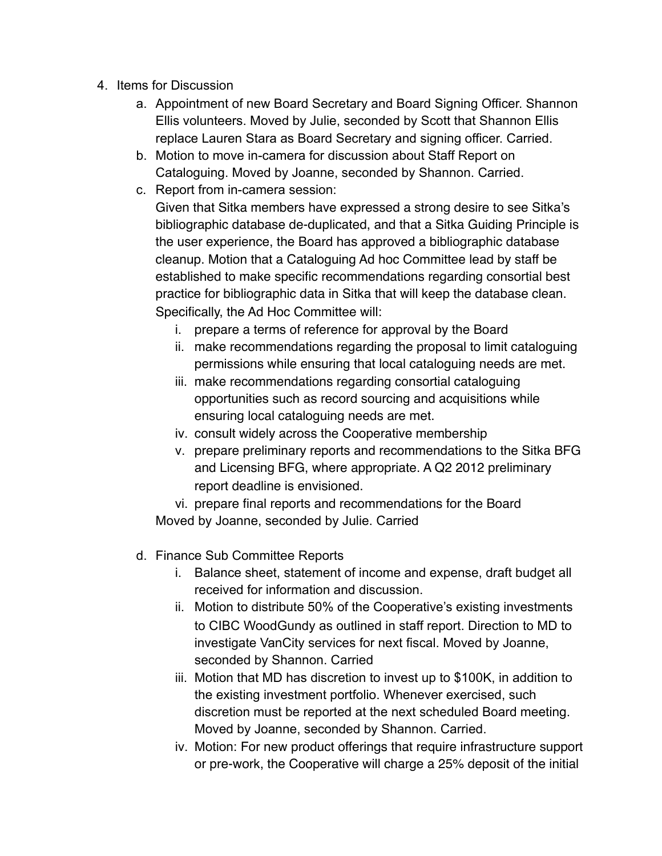- 4. Items for Discussion
	- a. Appointment of new Board Secretary and Board Signing Officer. Shannon Ellis volunteers. Moved by Julie, seconded by Scott that Shannon Ellis replace Lauren Stara as Board Secretary and signing officer. Carried.
	- b. Motion to move in-camera for discussion about Staff Report on Cataloguing. Moved by Joanne, seconded by Shannon. Carried.
	- c. Report from in-camera session: Given that Sitka members have expressed a strong desire to see Sitka's bibliographic database de-duplicated, and that a Sitka Guiding Principle is the user experience, the Board has approved a bibliographic database cleanup. Motion that a Cataloguing Ad hoc Committee lead by staff be established to make specific recommendations regarding consortial best practice for bibliographic data in Sitka that will keep the database clean. Specifically, the Ad Hoc Committee will:
		- i. prepare a terms of reference for approval by the Board
		- ii. make recommendations regarding the proposal to limit cataloguing permissions while ensuring that local cataloguing needs are met.
		- iii. make recommendations regarding consortial cataloguing opportunities such as record sourcing and acquisitions while ensuring local cataloguing needs are met.
		- iv. consult widely across the Cooperative membership
		- v. prepare preliminary reports and recommendations to the Sitka BFG and Licensing BFG, where appropriate. A Q2 2012 preliminary report deadline is envisioned.

vi. prepare final reports and recommendations for the Board Moved by Joanne, seconded by Julie. Carried

- d. Finance Sub Committee Reports
	- i. Balance sheet, statement of income and expense, draft budget all received for information and discussion.
	- ii. Motion to distribute 50% of the Cooperative's existing investments to CIBC WoodGundy as outlined in staff report. Direction to MD to investigate VanCity services for next fiscal. Moved by Joanne, seconded by Shannon. Carried
	- iii. Motion that MD has discretion to invest up to \$100K, in addition to the existing investment portfolio. Whenever exercised, such discretion must be reported at the next scheduled Board meeting. Moved by Joanne, seconded by Shannon. Carried.
	- iv. Motion: For new product offerings that require infrastructure support or pre-work, the Cooperative will charge a 25% deposit of the initial